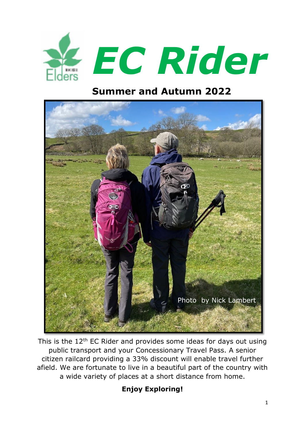

### **Summer and Autumn 2022**



This is the  $12<sup>th</sup>$  EC Rider and provides some ideas for days out using public transport and your Concessionary Travel Pass. A senior citizen railcard providing a 33% discount will enable travel further afield. We are fortunate to live in a beautiful part of the country with a wide variety of places at a short distance from home.

#### **Enjoy Exploring!**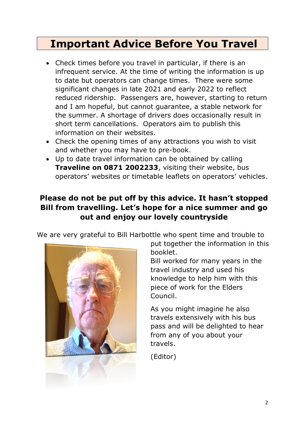## **Important Advice Before You Travel**

- Check times before you travel in particular, if there is an infrequent service. At the time of writing the information is up to date but operators can change times. There were some significant changes in late 2021 and early 2022 to reflect reduced ridership. Passengers are, however, starting to return and I am hopeful, but cannot guarantee, a stable network for the summer. A shortage of drivers does occasionally result in short term cancellations. Operators aim to publish this information on their websites.
- Check the opening times of any attractions you wish to visit and whether you may have to pre-book.
- Up to date travel information can be obtained by calling **Traveline on 0871 2002233**, visiting their website, bus operators' websites or timetable leaflets on operators' vehicles.

#### **Please do not be put off by this advice. It hasn't stopped Bill from travelling. Let's hope for a nice summer and go out and enjoy our lovely countryside**

We are very grateful to Bill Harbottle who spent time and trouble to



put together the information in this booklet.

Bill worked for many years in the travel industry and used his knowledge to help him with this piece of work for the Elders Council.

As you might imagine he also travels extensively with his bus pass and will be delighted to hear from any of you about your travels.

(Editor)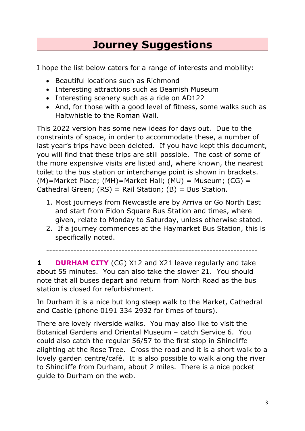## **Journey Suggestions**

I hope the list below caters for a range of interests and mobility:

- Beautiful locations such as Richmond
- Interesting attractions such as Beamish Museum
- Interesting scenery such as a ride on AD122
- And, for those with a good level of fitness, some walks such as Haltwhistle to the Roman Wall.

This 2022 version has some new ideas for days out. Due to the constraints of space, in order to accommodate these, a number of last year's trips have been deleted. If you have kept this document, you will find that these trips are still possible. The cost of some of the more expensive visits are listed and, where known, the nearest toilet to the bus station or interchange point is shown in brackets.  $(M)$ =Market Place; (MH)=Market Hall; (MU) = Museum; (CG) = Cathedral Green;  $(RS)$  = Rail Station;  $(B)$  = Bus Station.

- 1. Most journeys from Newcastle are by Arriva or Go North East and start from Eldon Square Bus Station and times, where given, relate to Monday to Saturday, unless otherwise stated.
- 2. If a journey commences at the Haymarket Bus Station, this is specifically noted.

----------------------------------------------------------------------

**1 DURHAM CITY** (CG) X12 and X21 leave regularly and take about 55 minutes. You can also take the slower 21. You should note that all buses depart and return from North Road as the bus station is closed for refurbishment.

In Durham it is a nice but long steep walk to the Market, Cathedral and Castle (phone 0191 334 2932 for times of tours).

There are lovely riverside walks. You may also like to visit the Botanical Gardens and Oriental Museum – catch Service 6. You could also catch the regular 56/57 to the first stop in Shincliffe alighting at the Rose Tree. Cross the road and it is a short walk to a lovely garden centre/café. It is also possible to walk along the river to Shincliffe from Durham, about 2 miles. There is a nice pocket guide to Durham on the web.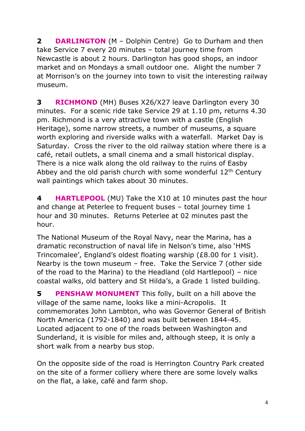**2 DARLINGTON** (M – Dolphin Centre) Go to Durham and then take Service 7 every 20 minutes – total journey time from Newcastle is about 2 hours. Darlington has good shops, an indoor market and on Mondays a small outdoor one. Alight the number 7 at Morrison's on the journey into town to visit the interesting railway museum.

**3 RICHMOND** (MH) Buses X26/X27 leave Darlington every 30 minutes. For a scenic ride take Service 29 at 1.10 pm, returns 4.30 pm. Richmond is a very attractive town with a castle (English Heritage), some narrow streets, a number of museums, a square worth exploring and riverside walks with a waterfall. Market Day is Saturday. Cross the river to the old railway station where there is a café, retail outlets, a small cinema and a small historical display. There is a nice walk along the old railway to the ruins of Easby Abbey and the old parish church with some wonderful  $12<sup>th</sup>$  Century wall paintings which takes about 30 minutes.

**4 HARTLEPOOL** (MU) Take the X10 at 10 minutes past the hour and change at Peterlee to frequent buses – total journey time 1 hour and 30 minutes. Returns Peterlee at 02 minutes past the hour.

The National Museum of the Royal Navy, near the Marina, has a dramatic reconstruction of naval life in Nelson's time, also 'HMS Trincomalee', England's oldest floating warship (£8.00 for 1 visit). Nearby is the town museum – free. Take the Service 7 (other side of the road to the Marina) to the Headland (old Hartlepool) – nice coastal walks, old battery and St Hilda's, a Grade 1 listed building.

**5 PENSHAW MONUMENT** This folly, built on a hill above the village of the same name, looks like a mini-Acropolis. It commemorates John Lambton, who was Governor General of British North America (1792-1840) and was built between 1844-45. Located adjacent to one of the roads between Washington and Sunderland, it is visible for miles and, although steep, it is only a short walk from a nearby bus stop.

On the opposite side of the road is Herrington Country Park created on the site of a former colliery where there are some lovely walks on the flat, a lake, café and farm shop.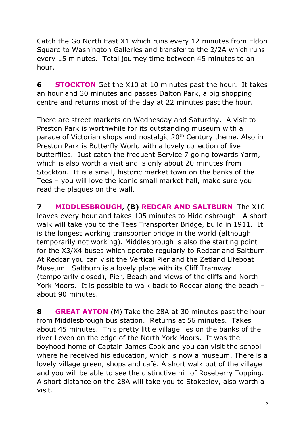Catch the Go North East X1 which runs every 12 minutes from Eldon Square to Washington Galleries and transfer to the 2/2A which runs every 15 minutes. Total journey time between 45 minutes to an hour.

**6 STOCKTON** Get the X10 at 10 minutes past the hour. It takes an hour and 30 minutes and passes Dalton Park, a big shopping centre and returns most of the day at 22 minutes past the hour.

There are street markets on Wednesday and Saturday. A visit to Preston Park is worthwhile for its outstanding museum with a parade of Victorian shops and nostalgic 20<sup>th</sup> Century theme. Also in Preston Park is Butterfly World with a lovely collection of live butterflies. Just catch the frequent Service 7 going towards Yarm, which is also worth a visit and is only about 20 minutes from Stockton. It is a small, historic market town on the banks of the Tees – you will love the iconic small market hall, make sure you read the plaques on the wall.

**7 MIDDLESBROUGH, (B) REDCAR AND SALTBURN** The X10 leaves every hour and takes 105 minutes to Middlesbrough. A short walk will take you to the Tees Transporter Bridge, build in 1911. It is the longest working transporter bridge in the world (although temporarily not working). Middlesbrough is also the starting point for the X3/X4 buses which operate regularly to Redcar and Saltburn. At Redcar you can visit the Vertical Pier and the Zetland Lifeboat Museum. Saltburn is a lovely place with its Cliff Tramway (temporarily closed), Pier, Beach and views of the cliffs and North York Moors. It is possible to walk back to Redcar along the beach – about 90 minutes.

**8 GREAT AYTON** (M) Take the 28A at 30 minutes past the hour from Middlesbrough bus station. Returns at 56 minutes. Takes about 45 minutes. This pretty little village lies on the banks of the river Leven on the edge of the North York Moors. It was the boyhood home of Captain James Cook and you can visit the school where he received his education, which is now a museum. There is a lovely village green, shops and café. A short walk out of the village and you will be able to see the distinctive hill of Roseberry Topping. A short distance on the 28A will take you to Stokesley, also worth a visit.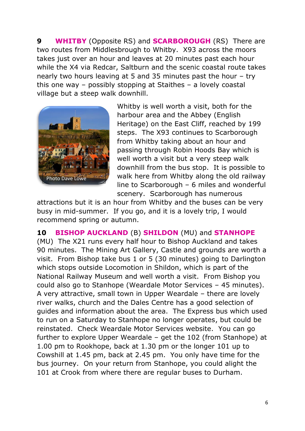**9 WHITBY** (Opposite RS) and **SCARBOROUGH** (RS) There are two routes from Middlesbrough to Whitby. X93 across the moors takes just over an hour and leaves at 20 minutes past each hour while the X4 via Redcar, Saltburn and the scenic coastal route takes nearly two hours leaving at 5 and 35 minutes past the hour – try this one way – possibly stopping at Staithes – a lovely coastal village but a steep walk downhill.



Whitby is well worth a visit, both for the harbour area and the Abbey (English Heritage) on the East Cliff, reached by 199 steps. The X93 continues to Scarborough from Whitby taking about an hour and passing through Robin Hoods Bay which is well worth a visit but a very steep walk downhill from the bus stop. It is possible to walk here from Whitby along the old railway line to Scarborough – 6 miles and wonderful scenery. Scarborough has numerous

attractions but it is an hour from Whitby and the buses can be very busy in mid-summer. If you go, and it is a lovely trip, I would recommend spring or autumn.

**10 BISHOP AUCKLAND** (B) **SHILDON** (MU) and **STANHOPE**  (MU) The X21 runs every half hour to Bishop Auckland and takes 90 minutes. The Mining Art Gallery, Castle and grounds are worth a visit. From Bishop take bus 1 or 5 (30 minutes) going to Darlington which stops outside Locomotion in Shildon, which is part of the National Railway Museum and well worth a visit. From Bishop you could also go to Stanhope (Weardale Motor Services – 45 minutes). A very attractive, small town in Upper Weardale – there are lovely river walks, church and the Dales Centre has a good selection of guides and information about the area. The Express bus which used to run on a Saturday to Stanhope no longer operates, but could be reinstated. Check Weardale Motor Services website. You can go further to explore Upper Weardale – get the 102 (from Stanhope) at 1.00 pm to Rookhope, back at 1.30 pm or the longer 101 up to Cowshill at 1.45 pm, back at 2.45 pm. You only have time for the bus journey. On your return from Stanhope, you could alight the 101 at Crook from where there are regular buses to Durham.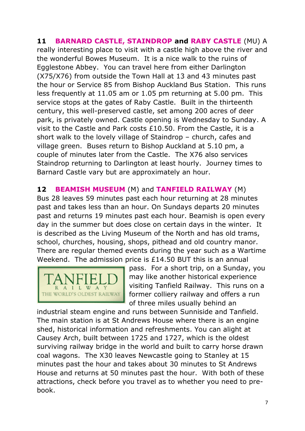**11 BARNARD CASTLE, STAINDROP and RABY CASTLE** (MU) A really interesting place to visit with a castle high above the river and the wonderful Bowes Museum. It is a nice walk to the ruins of Egglestone Abbey. You can travel here from either Darlington (X75/X76) from outside the Town Hall at 13 and 43 minutes past the hour or Service 85 from Bishop Auckland Bus Station. This runs less frequently at 11.05 am or 1.05 pm returning at 5.00 pm. This service stops at the gates of Raby Castle. Built in the thirteenth century, this well-preserved castle, set among 200 acres of deer park, is privately owned. Castle opening is Wednesday to Sunday. A visit to the Castle and Park costs £10.50. From the Castle, it is a short walk to the lovely village of Staindrop – church, cafes and village green. Buses return to Bishop Auckland at 5.10 pm, a couple of minutes later from the Castle. The X76 also services Staindrop returning to Darlington at least hourly. Journey times to Barnard Castle vary but are approximately an hour.

#### **12 BEAMISH MUSEUM** (M) and **TANFIELD RAILWAY** (M)

Bus 28 leaves 59 minutes past each hour returning at 28 minutes past and takes less than an hour. On Sundays departs 20 minutes past and returns 19 minutes past each hour. Beamish is open every day in the summer but does close on certain days in the winter. It is described as the Living Museum of the North and has old trams, school, churches, housing, shops, pithead and old country manor. There are regular themed events during the year such as a Wartime Weekend. The admission price is £14.50 BUT this is an annual



pass. For a short trip, on a Sunday, you may like another historical experience visiting Tanfield Railway. This runs on a former colliery railway and offers a run of three miles usually behind an

industrial steam engine and runs between Sunniside and Tanfield. The main station is at St Andrews House where there is an engine shed, historical information and refreshments. You can alight at Causey Arch, built between 1725 and 1727, which is the oldest surviving railway bridge in the world and built to carry horse drawn coal wagons. The X30 leaves Newcastle going to Stanley at 15 minutes past the hour and takes about 30 minutes to St Andrews House and returns at 50 minutes past the hour. With both of these attractions, check before you travel as to whether you need to prebook.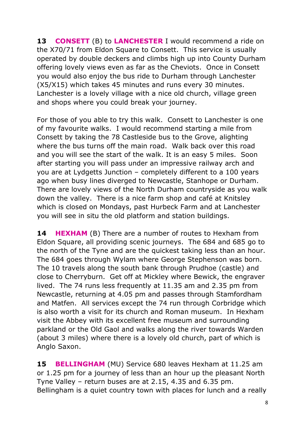**13 CONSETT** (B) to **LANCHESTER** I would recommend a ride on the X70/71 from Eldon Square to Consett. This service is usually operated by double deckers and climbs high up into County Durham offering lovely views even as far as the Cheviots. Once in Consett you would also enjoy the bus ride to Durham through Lanchester (X5/X15) which takes 45 minutes and runs every 30 minutes. Lanchester is a lovely village with a nice old church, village green and shops where you could break your journey.

For those of you able to try this walk. Consett to Lanchester is one of my favourite walks. I would recommend starting a mile from Consett by taking the 78 Castleside bus to the Grove, alighting where the bus turns off the main road. Walk back over this road and you will see the start of the walk. It is an easy 5 miles. Soon after starting you will pass under an impressive railway arch and you are at Lydgetts Junction – completely different to a 100 years ago when busy lines diverged to Newcastle, Stanhope or Durham. There are lovely views of the North Durham countryside as you walk down the valley. There is a nice farm shop and café at Knitsley which is closed on Mondays, past Hurbeck Farm and at Lanchester you will see in situ the old platform and station buildings.

**14 <b>HEXHAM** (B) There are a number of routes to Hexham from Eldon Square, all providing scenic journeys. The 684 and 685 go to the north of the Tyne and are the quickest taking less than an hour. The 684 goes through Wylam where George Stephenson was born. The 10 travels along the south bank through Prudhoe (castle) and close to Cherryburn. Get off at Mickley where Bewick, the engraver lived. The 74 runs less frequently at 11.35 am and 2.35 pm from Newcastle, returning at 4.05 pm and passes through Stamfordham and Matfen. All services except the 74 run through Corbridge which is also worth a visit for its church and Roman museum. In Hexham visit the Abbey with its excellent free museum and surrounding parkland or the Old Gaol and walks along the river towards Warden (about 3 miles) where there is a lovely old church, part of which is Anglo Saxon.

**15 BELLINGHAM** (MU) Service 680 leaves Hexham at 11.25 am or 1.25 pm for a journey of less than an hour up the pleasant North Tyne Valley – return buses are at 2.15, 4.35 and 6.35 pm. Bellingham is a quiet country town with places for lunch and a really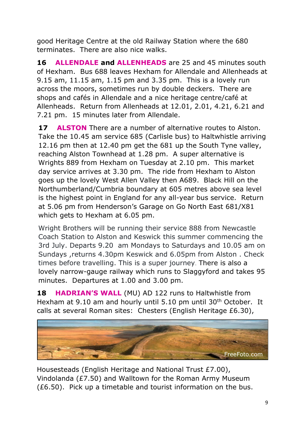good Heritage Centre at the old Railway Station where the 680 terminates. There are also nice walks.

**16 ALLENDALE and ALLENHEADS** are 25 and 45 minutes south of Hexham. Bus 688 leaves Hexham for Allendale and Allenheads at 9.15 am, 11.15 am, 1.15 pm and 3.35 pm. This is a lovely run across the moors, sometimes run by double deckers. There are shops and cafés in Allendale and a nice heritage centre/café at Allenheads. Return from Allenheads at 12.01, 2.01, 4.21, 6.21 and 7.21 pm. 15 minutes later from Allendale.

**17 ALSTON** There are a number of alternative routes to Alston. Take the 10.45 am service 685 (Carlisle bus) to Haltwhistle arriving 12.16 pm then at 12.40 pm get the 681 up the South Tyne valley, reaching Alston Townhead at 1.28 pm. A super alternative is Wrights 889 from Hexham on Tuesday at 2.10 pm. This market day service arrives at 3.30 pm. The ride from Hexham to Alston goes up the lovely West Allen Valley then A689. Black Hill on the Northumberland/Cumbria boundary at 605 metres above sea level is the highest point in England for any all-year bus service. Return at 5.06 pm from Henderson's Garage on Go North East 681/X81 which gets to Hexham at 6.05 pm.

Wright Brothers will be running their service 888 from Newcastle Coach Station to Alston and Keswick this summer commencing the 3rd July. Departs 9.20 am Mondays to Saturdays and 10.05 am on Sundays ,returns 4.30pm Keswick and 6.05pm from Alston . Check times before travelling. This is a super journey. There is also a lovely narrow-gauge railway which runs to Slaggyford and takes 95 minutes. Departures at 1.00 and 3.00 pm.

**18 HADRIAN'S WALL** (MU) AD 122 runs to Haltwhistle from Hexham at 9.10 am and hourly until 5.10 pm until 30<sup>th</sup> October. It calls at several Roman sites: Chesters (English Heritage £6.30),



Housesteads (English Heritage and National Trust £7.00), Vindolanda (£7.50) and Walltown for the Roman Army Museum (£6.50). Pick up a timetable and tourist information on the bus.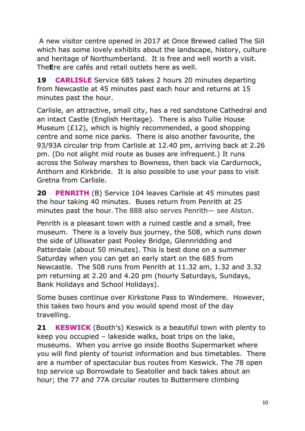A new visitor centre opened in 2017 at Once Brewed called The Sill which has some lovely exhibits about the landscape, history, culture and heritage of Northumberland. It is free and well worth a visit. The**E**re are cafés and retail outlets here as well.

**19 CARLISLE** Service 685 takes 2 hours 20 minutes departing from Newcastle at 45 minutes past each hour and returns at 15 minutes past the hour.

Carlisle, an attractive, small city, has a red sandstone Cathedral and an intact Castle (English Heritage). There is also Tullie House Museum (£12), which is highly recommended, a good shopping centre and some nice parks. There is also another favourite, the 93/93A circular trip from Carlisle at 12.40 pm, arriving back at 2.26 pm. (Do not alight mid route as buses are infrequent.) It runs across the Solway marshes to Bowness, then back via Cardurnock, Anthorn and Kirkbride. It is also possible to use your pass to visit Gretna from Carlisle.

**20 PENRITH** (B) Service 104 leaves Carlisle at 45 minutes past the hour taking 40 minutes. Buses return from Penrith at 25 minutes past the hour. The 888 also serves Penrith— see Alston.

Penrith is a pleasant town with a ruined castle and a small, free museum. There is a lovely bus journey, the 508, which runs down the side of Ullswater past Pooley Bridge, Glennridding and Patterdale (about 50 minutes). This is best done on a summer Saturday when you can get an early start on the 685 from Newcastle. The 508 runs from Penrith at 11.32 am, 1.32 and 3.32 pm returning at 2.20 and 4.20 pm (hourly Saturdays, Sundays, Bank Holidays and School Holidays).

Some buses continue over Kirkstone Pass to Windemere. However, this takes two hours and you would spend most of the day travelling.

**21 KESWICK** (Booth's) Keswick is a beautiful town with plenty to keep you occupied – lakeside walks, boat trips on the lake, museums. When you arrive go inside Booths Supermarket where you will find plenty of tourist information and bus timetables. There are a number of spectacular bus routes from Keswick. The 78 open top service up Borrowdale to Seatoller and back takes about an hour; the 77 and 77A circular routes to Buttermere climbing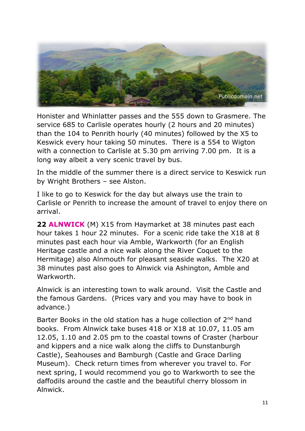

Honister and Whinlatter passes and the 555 down to Grasmere. The service 685 to Carlisle operates hourly (2 hours and 20 minutes) than the 104 to Penrith hourly (40 minutes) followed by the X5 to Keswick every hour taking 50 minutes. There is a 554 to Wigton with a connection to Carlisle at 5.30 pm arriving 7.00 pm. It is a long way albeit a very scenic travel by bus.

In the middle of the summer there is a direct service to Keswick run by Wright Brothers – see Alston.

I like to go to Keswick for the day but always use the train to Carlisle or Penrith to increase the amount of travel to enjoy there on arrival.

**22 ALNWICK** (M) X15 from Haymarket at 38 minutes past each hour takes 1 hour 22 minutes. For a scenic ride take the X18 at 8 minutes past each hour via Amble, Warkworth (for an English Heritage castle and a nice walk along the River Coquet to the Hermitage) also Alnmouth for pleasant seaside walks. The X20 at 38 minutes past also goes to Alnwick via Ashington, Amble and Warkworth.

Alnwick is an interesting town to walk around. Visit the Castle and the famous Gardens. (Prices vary and you may have to book in advance.)

Barter Books in the old station has a huge collection of 2<sup>nd</sup> hand books. From Alnwick take buses 418 or X18 at 10.07, 11.05 am 12.05, 1.10 and 2.05 pm to the coastal towns of Craster (harbour and kippers and a nice walk along the cliffs to Dunstanburgh Castle), Seahouses and Bamburgh (Castle and Grace Darling Museum). Check return times from wherever you travel to. For next spring, I would recommend you go to Warkworth to see the daffodils around the castle and the beautiful cherry blossom in Alnwick.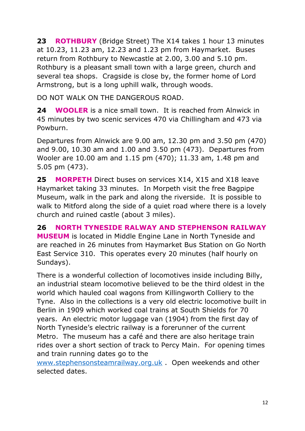**23 ROTHBURY** (Bridge Street) The X14 takes 1 hour 13 minutes at 10.23, 11.23 am, 12.23 and 1.23 pm from Haymarket. Buses return from Rothbury to Newcastle at 2.00, 3.00 and 5.10 pm. Rothbury is a pleasant small town with a large green, church and several tea shops. Cragside is close by, the former home of Lord Armstrong, but is a long uphill walk, through woods.

DO NOT WALK ON THE DANGEROUS ROAD.

**24 WOOLER** is a nice small town. It is reached from Alnwick in 45 minutes by two scenic services 470 via Chillingham and 473 via Powburn.

Departures from Alnwick are 9.00 am, 12.30 pm and 3.50 pm (470) and 9.00, 10.30 am and 1.00 and 3.50 pm (473). Departures from Wooler are 10.00 am and 1.15 pm (470); 11.33 am, 1.48 pm and 5.05 pm (473).

**25 MORPETH** Direct buses on services X14, X15 and X18 leave Haymarket taking 33 minutes. In Morpeth visit the free Bagpipe Museum, walk in the park and along the riverside. It is possible to walk to Mitford along the side of a quiet road where there is a lovely church and ruined castle (about 3 miles).

**26 NORTH TYNESIDE RALWAY AND STEPHENSON RAILWAY MUSEUM** is located in Middle Engine Lane in North Tyneside and are reached in 26 minutes from Haymarket Bus Station on Go North East Service 310. This operates every 20 minutes (half hourly on Sundays).

There is a wonderful collection of locomotives inside including Billy, an industrial steam locomotive believed to be the third oldest in the world which hauled coal wagons from Killingworth Colliery to the Tyne. Also in the collections is a very old electric locomotive built in Berlin in 1909 which worked coal trains at South Shields for 70 years. An electric motor luggage van (1904) from the first day of North Tyneside's electric railway is a forerunner of the current Metro. The museum has a café and there are also heritage train rides over a short section of track to Percy Main. For opening times and train running dates go to the

[www.stephensonsteamrailway.org.uk](http://www.stephensonsteamrailway.org.uk/) . Open weekends and other selected dates.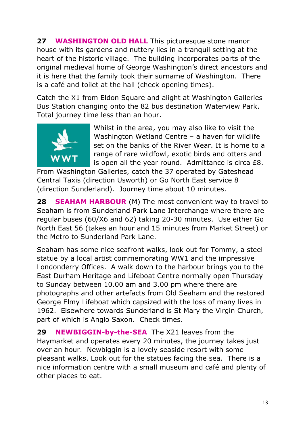**27 WASHINGTON OLD HALL** This picturesque stone manor house with its gardens and nuttery lies in a tranquil setting at the heart of the historic village. The building incorporates parts of the original medieval home of George Washington's direct ancestors and it is here that the family took their surname of Washington. There is a café and toilet at the hall (check opening times).

Catch the X1 from Eldon Square and alight at Washington Galleries Bus Station changing onto the 82 bus destination Waterview Park. Total journey time less than an hour.



Whilst in the area, you may also like to visit the Washington Wetland Centre – a haven for wildlife set on the banks of the River Wear. It is home to a range of rare wildfowl, exotic birds and otters and is open all the year round. Admittance is circa £8.

From Washington Galleries, catch the 37 operated by Gateshead Central Taxis (direction Usworth) or Go North East service 8 (direction Sunderland). Journey time about 10 minutes.

**28 SEAHAM HARBOUR** (M) The most convenient way to travel to Seaham is from Sunderland Park Lane Interchange where there are regular buses (60/X6 and 62) taking 20-30 minutes. Use either Go North East 56 (takes an hour and 15 minutes from Market Street) or the Metro to Sunderland Park Lane.

Seaham has some nice seafront walks, look out for Tommy, a steel statue by a local artist commemorating WW1 and the impressive Londonderry Offices. A walk down to the harbour brings you to the East Durham Heritage and Lifeboat Centre normally open Thursday to Sunday between 10.00 am and 3.00 pm where there are photographs and other artefacts from Old Seaham and the restored George Elmy Lifeboat which capsized with the loss of many lives in 1962. Elsewhere towards Sunderland is St Mary the Virgin Church, part of which is Anglo Saxon. Check times.

**29 NEWBIGGIN-by-the-SEA** The X21 leaves from the Haymarket and operates every 20 minutes, the journey takes just over an hour. Newbiggin is a lovely seaside resort with some pleasant walks. Look out for the statues facing the sea. There is a nice information centre with a small museum and café and plenty of other places to eat.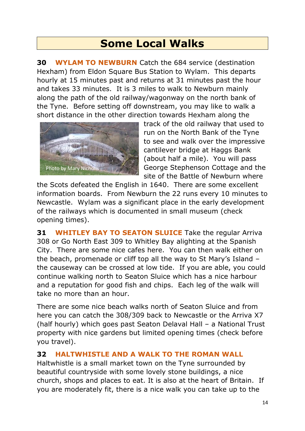### **Some Local Walks**

**30 WYLAM TO NEWBURN** Catch the 684 service (destination Hexham) from Eldon Square Bus Station to Wylam. This departs hourly at 15 minutes past and returns at 31 minutes past the hour and takes 33 minutes. It is 3 miles to walk to Newburn mainly along the path of the old railway/wagonway on the north bank of the Tyne. Before setting off downstream, you may like to walk a short distance in the other direction towards Hexham along the



track of the old railway that used to run on the North Bank of the Tyne to see and walk over the impressive cantilever bridge at Haggs Bank (about half a mile). You will pass George Stephenson Cottage and the site of the Battle of Newburn where

the Scots defeated the English in 1640. There are some excellent information boards. From Newburn the 22 runs every 10 minutes to Newcastle. Wylam was a significant place in the early development of the railways which is documented in small museum (check opening times).

**31 WHITLEY BAY TO SEATON SLUICE** Take the regular Arriva 308 or Go North East 309 to Whitley Bay alighting at the Spanish City. There are some nice cafes here. You can then walk either on the beach, promenade or cliff top all the way to St Mary's Island – the causeway can be crossed at low tide. If you are able, you could continue walking north to Seaton Sluice which has a nice harbour and a reputation for good fish and chips. Each leg of the walk will take no more than an hour.

There are some nice beach walks north of Seaton Sluice and from here you can catch the 308/309 back to Newcastle or the Arriva X7 (half hourly) which goes past Seaton Delaval Hall – a National Trust property with nice gardens but limited opening times (check before you travel).

#### **32 HALTWHISTLE AND A WALK TO THE ROMAN WALL**

Haltwhistle is a small market town on the Tyne surrounded by beautiful countryside with some lovely stone buildings, a nice church, shops and places to eat. It is also at the heart of Britain. If you are moderately fit, there is a nice walk you can take up to the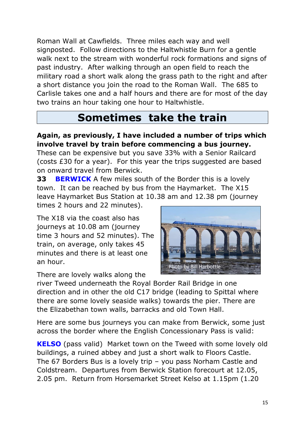Roman Wall at Cawfields. Three miles each way and well signposted. Follow directions to the Haltwhistle Burn for a gentle walk next to the stream with wonderful rock formations and signs of past industry. After walking through an open field to reach the military road a short walk along the grass path to the right and after a short distance you join the road to the Roman Wall. The 685 to Carlisle takes one and a half hours and there are for most of the day two trains an hour taking one hour to Haltwhistle.

# **Sometimes take the train**

#### **Again, as previously, I have included a number of trips which involve travel by train before commencing a bus journey.**

These can be expensive but you save 33% with a Senior Railcard (costs £30 for a year). For this year the trips suggested are based on onward travel from Berwick.

**33 BERWICK** A few miles south of the Border this is a lovely town. It can be reached by bus from the Haymarket. The X15 leave Haymarket Bus Station at 10.38 am and 12.38 pm (journey times 2 hours and 22 minutes).

The X18 via the coast also has journeys at 10.08 am (journey time 3 hours and 52 minutes). The train, on average, only takes 45 minutes and there is at least one an hour.

There are lovely walks along the



river Tweed underneath the Royal Border Rail Bridge in one direction and in other the old C17 bridge (leading to Spittal where there are some lovely seaside walks) towards the pier. There are the Elizabethan town walls, barracks and old Town Hall.

Here are some bus journeys you can make from Berwick, some just across the border where the English Concessionary Pass is valid:

**KELSO** (pass valid) Market town on the Tweed with some lovely old buildings, a ruined abbey and just a short walk to Floors Castle. The 67 Borders Bus is a lovely trip – you pass Norham Castle and Coldstream. Departures from Berwick Station forecourt at 12.05, 2.05 pm. Return from Horsemarket Street Kelso at 1.15pm (1.20